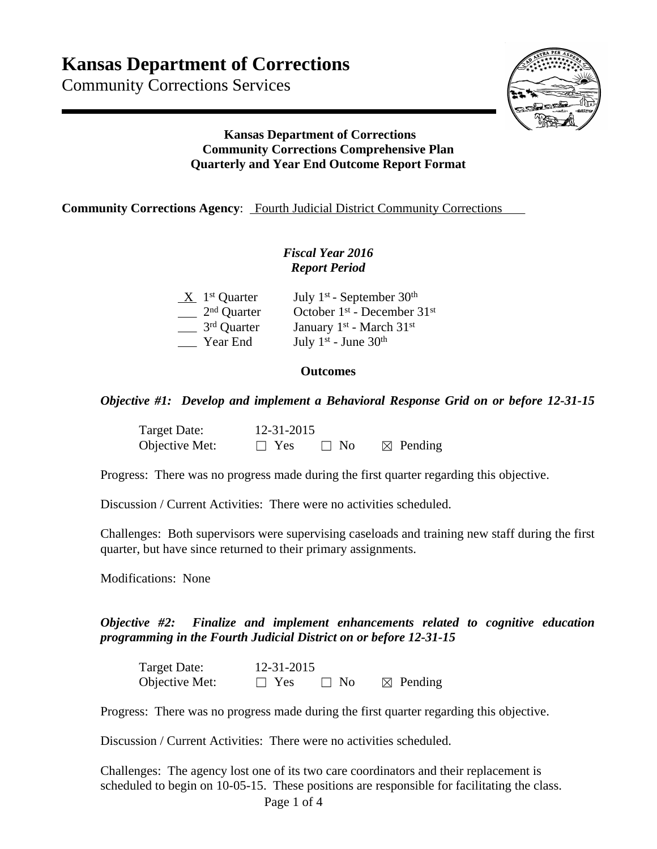Community Corrections Services



## **Kansas Department of Corrections Community Corrections Comprehensive Plan Quarterly and Year End Outcome Report Format**

**Community Corrections Agency:** Fourth Judicial District Community Corrections

## *Fiscal Year 2016 Report Period*

| $X$ 1 <sup>st</sup> Quarter | July 1st - September $30th$                      |
|-----------------------------|--------------------------------------------------|
| $2nd$ Quarter               | October $1st$ - December $31st$                  |
| 3 <sup>rd</sup> Quarter     | January 1 <sup>st</sup> - March 31 <sup>st</sup> |
| Year End                    | July $1^{st}$ - June $30^{th}$                   |

## **Outcomes**

*Objective #1: Develop and implement a Behavioral Response Grid on or before 12-31-15*

| Target Date:   |            | 12-31-2015 |                     |  |
|----------------|------------|------------|---------------------|--|
| Objective Met: | $\Box$ Yes | $\Box$ No  | $\boxtimes$ Pending |  |

Progress: There was no progress made during the first quarter regarding this objective.

Discussion / Current Activities: There were no activities scheduled.

Challenges: Both supervisors were supervising caseloads and training new staff during the first quarter, but have since returned to their primary assignments.

Modifications: None

*Objective #2: Finalize and implement enhancements related to cognitive education programming in the Fourth Judicial District on or before 12-31-15*

| Target Date:   | 12-31-2015 |           |                     |
|----------------|------------|-----------|---------------------|
| Objective Met: | $\Box$ Yes | $\Box$ No | $\boxtimes$ Pending |

Progress: There was no progress made during the first quarter regarding this objective.

Discussion / Current Activities: There were no activities scheduled.

Challenges: The agency lost one of its two care coordinators and their replacement is scheduled to begin on 10-05-15. These positions are responsible for facilitating the class.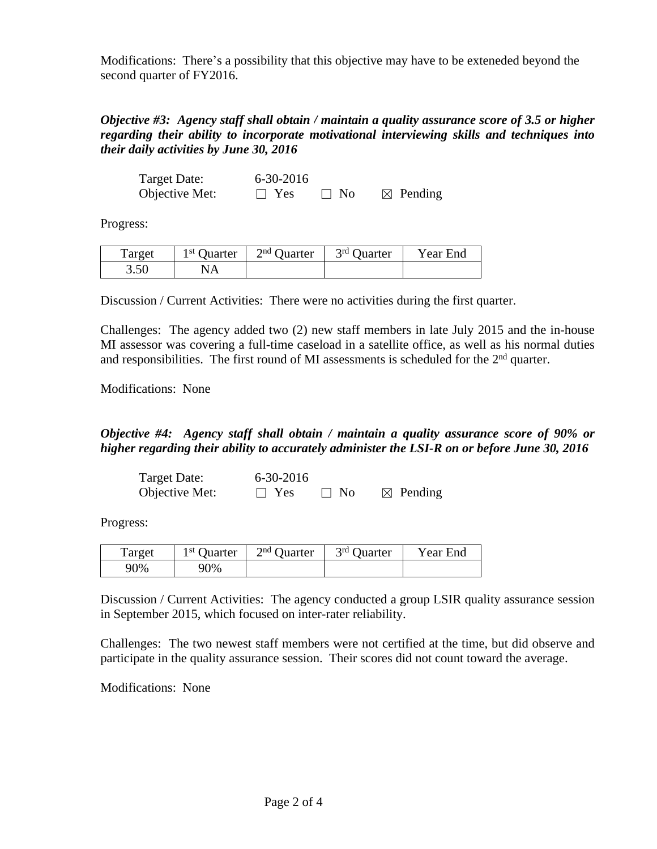Modifications: There's a possibility that this objective may have to be exteneded beyond the second quarter of FY2016.

*Objective #3: Agency staff shall obtain / maintain a quality assurance score of 3.5 or higher regarding their ability to incorporate motivational interviewing skills and techniques into their daily activities by June 30, 2016* 

| Target Date:   | 6-30-2016  |            |                     |
|----------------|------------|------------|---------------------|
| Objective Met: | $\Box$ Yes | $\perp$ No | $\boxtimes$ Pending |

Progress:

| Target | 1 <sup>st</sup> Quarter | $2nd$ Quarter | 3rd Quarter | Year End |
|--------|-------------------------|---------------|-------------|----------|
| 3.50   | NA.                     |               |             |          |

Discussion / Current Activities: There were no activities during the first quarter.

Challenges: The agency added two (2) new staff members in late July 2015 and the in-house MI assessor was covering a full-time caseload in a satellite office, as well as his normal duties and responsibilities. The first round of MI assessments is scheduled for the 2<sup>nd</sup> quarter.

Modifications: None

## *Objective #4: Agency staff shall obtain / maintain a quality assurance score of 90% or higher regarding their ability to accurately administer the LSI-R on or before June 30, 2016*

| Target Date:   | $6 - 30 - 2016$ |           |                     |
|----------------|-----------------|-----------|---------------------|
| Objective Met: | $\Box$ Yes      | $\Box$ No | $\boxtimes$ Pending |

Progress:

| Target | $1st$ Quarter | $2nd$ Ouarter | 3 <sup>rd</sup> Quarter | Year End |
|--------|---------------|---------------|-------------------------|----------|
| 90%    | 90%           |               |                         |          |

Discussion / Current Activities: The agency conducted a group LSIR quality assurance session in September 2015, which focused on inter-rater reliability.

Challenges: The two newest staff members were not certified at the time, but did observe and participate in the quality assurance session. Their scores did not count toward the average.

Modifications: None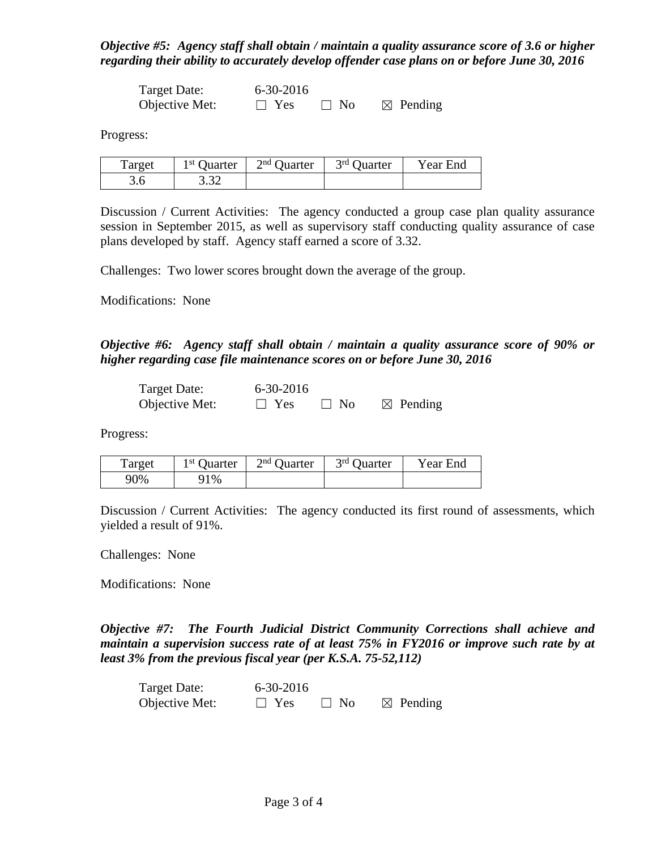*Objective #5: Agency staff shall obtain / maintain a quality assurance score of 3.6 or higher regarding their ability to accurately develop offender case plans on or before June 30, 2016* 

| Target Date:   | 6-30-2016  |           |                     |
|----------------|------------|-----------|---------------------|
| Objective Met: | $\Box$ Yes | $\Box$ No | $\boxtimes$ Pending |

Progress:

| Target | 1 <sup>st</sup> Quarter | $2nd$ Quarter | 3 <sup>rd</sup> Quarter | Year End |
|--------|-------------------------|---------------|-------------------------|----------|
|        | 222<br>3.JZ             |               |                         |          |

Discussion / Current Activities: The agency conducted a group case plan quality assurance session in September 2015, as well as supervisory staff conducting quality assurance of case plans developed by staff. Agency staff earned a score of 3.32.

Challenges: Two lower scores brought down the average of the group.

Modifications: None

*Objective #6: Agency staff shall obtain / maintain a quality assurance score of 90% or higher regarding case file maintenance scores on or before June 30, 2016* 

| Target Date:   | $6 - 30 - 2016$ |           |                     |
|----------------|-----------------|-----------|---------------------|
| Objective Met: | $\Box$ Yes      | $\Box$ No | $\boxtimes$ Pending |

Progress:

| Target | 1 <sup>st</sup> Quarter | $2nd$ Quarter | 3 <sup>rd</sup> Quarter | Year End |
|--------|-------------------------|---------------|-------------------------|----------|
| 90%    | $1\%$                   |               |                         |          |

Discussion / Current Activities: The agency conducted its first round of assessments, which yielded a result of 91%.

Challenges: None

Modifications: None

*Objective #7: The Fourth Judicial District Community Corrections shall achieve and maintain a supervision success rate of at least 75% in FY2016 or improve such rate by at least 3% from the previous fiscal year (per K.S.A. 75-52,112)*

| Target Date:   | $6 - 30 - 2016$ |           |                     |
|----------------|-----------------|-----------|---------------------|
| Objective Met: | $\Box$ Yes      | $\Box$ No | $\boxtimes$ Pending |